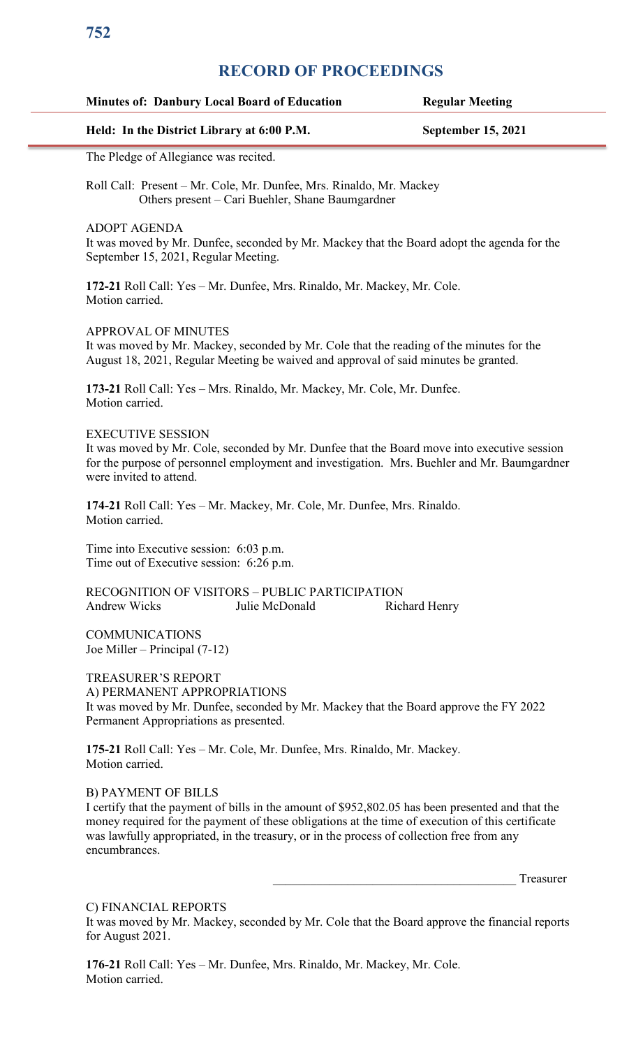# **RECORD OF PROCEEDINGS**

#### **Minutes of: Danbury Local Board of Education Regular Meeting**

#### **Held: In the District Library at 6:00 P.M. September 15, 2021**

The Pledge of Allegiance was recited.

Roll Call: Present – Mr. Cole, Mr. Dunfee, Mrs. Rinaldo, Mr. Mackey Others present – Cari Buehler, Shane Baumgardner

ADOPT AGENDA

It was moved by Mr. Dunfee, seconded by Mr. Mackey that the Board adopt the agenda for the September 15, 2021, Regular Meeting.

**172-21** Roll Call: Yes – Mr. Dunfee, Mrs. Rinaldo, Mr. Mackey, Mr. Cole. Motion carried.

APPROVAL OF MINUTES

It was moved by Mr. Mackey, seconded by Mr. Cole that the reading of the minutes for the August 18, 2021, Regular Meeting be waived and approval of said minutes be granted.

**173-21** Roll Call: Yes – Mrs. Rinaldo, Mr. Mackey, Mr. Cole, Mr. Dunfee. Motion carried.

#### EXECUTIVE SESSION

It was moved by Mr. Cole, seconded by Mr. Dunfee that the Board move into executive session for the purpose of personnel employment and investigation. Mrs. Buehler and Mr. Baumgardner were invited to attend.

**174-21** Roll Call: Yes – Mr. Mackey, Mr. Cole, Mr. Dunfee, Mrs. Rinaldo. Motion carried.

Time into Executive session: 6:03 p.m. Time out of Executive session: 6:26 p.m.

RECOGNITION OF VISITORS – PUBLIC PARTICIPATION Andrew Wicks Julie McDonald Richard Henry

COMMUNICATIONS Joe Miller – Principal (7-12)

TREASURER'S REPORT A) PERMANENT APPROPRIATIONS It was moved by Mr. Dunfee, seconded by Mr. Mackey that the Board approve the FY 2022 Permanent Appropriations as presented.

**175-21** Roll Call: Yes – Mr. Cole, Mr. Dunfee, Mrs. Rinaldo, Mr. Mackey. Motion carried.

#### B) PAYMENT OF BILLS

I certify that the payment of bills in the amount of \$952,802.05 has been presented and that the money required for the payment of these obligations at the time of execution of this certificate was lawfully appropriated, in the treasury, or in the process of collection free from any encumbrances.

Treasurer

C) FINANCIAL REPORTS

It was moved by Mr. Mackey, seconded by Mr. Cole that the Board approve the financial reports for August 2021.

**176-21** Roll Call: Yes – Mr. Dunfee, Mrs. Rinaldo, Mr. Mackey, Mr. Cole. Motion carried.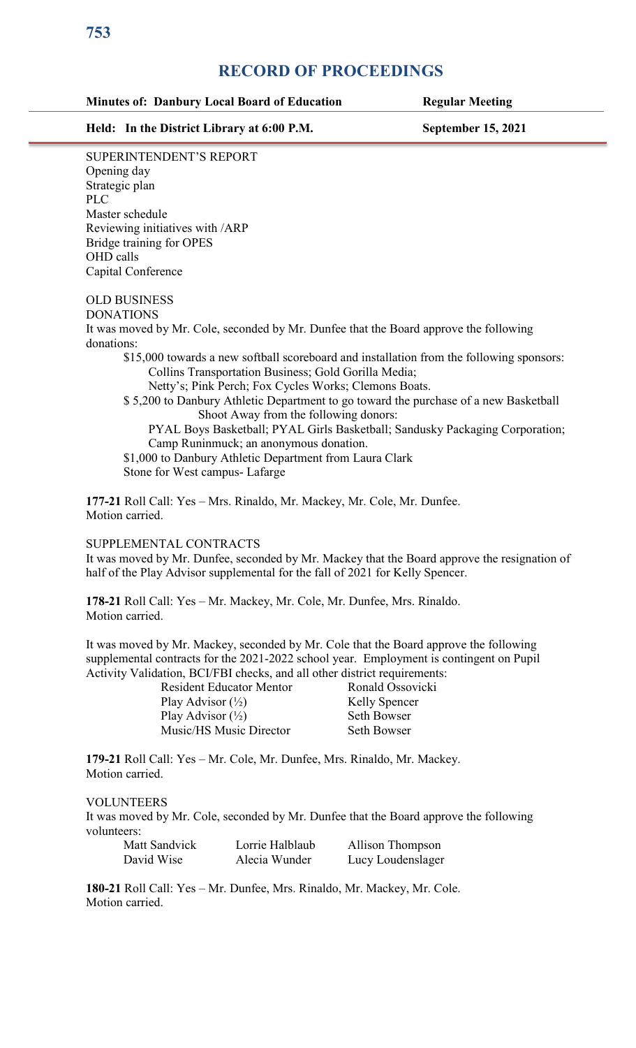# **RECORD OF PROCEEDINGS**

### **Minutes of: Danbury Local Board of Education Regular Meeting**

**Held: In the District Library at 6:00 P.M. September 15, 2021**

SUPERINTENDENT'S REPORT Opening day Strategic plan PLC Master schedule Reviewing initiatives with /ARP Bridge training for OPES OHD calls Capital Conference

### OLD BUSINESS

DONATIONS

It was moved by Mr. Cole, seconded by Mr. Dunfee that the Board approve the following donations:

\$15,000 towards a new softball scoreboard and installation from the following sponsors: Collins Transportation Business; Gold Gorilla Media;

Netty's; Pink Perch; Fox Cycles Works; Clemons Boats.

\$ 5,200 to Danbury Athletic Department to go toward the purchase of a new Basketball Shoot Away from the following donors:

 PYAL Boys Basketball; PYAL Girls Basketball; Sandusky Packaging Corporation; Camp Runinmuck; an anonymous donation.

\$1,000 to Danbury Athletic Department from Laura Clark Stone for West campus- Lafarge

**177-21** Roll Call: Yes – Mrs. Rinaldo, Mr. Mackey, Mr. Cole, Mr. Dunfee. Motion carried.

## SUPPLEMENTAL CONTRACTS

It was moved by Mr. Dunfee, seconded by Mr. Mackey that the Board approve the resignation of half of the Play Advisor supplemental for the fall of 2021 for Kelly Spencer.

**178-21** Roll Call: Yes – Mr. Mackey, Mr. Cole, Mr. Dunfee, Mrs. Rinaldo. Motion carried.

It was moved by Mr. Mackey, seconded by Mr. Cole that the Board approve the following supplemental contracts for the 2021-2022 school year. Employment is contingent on Pupil Activity Validation, BCI/FBI checks, and all other district requirements:

| $\frac{1}{2}$ . If the stress will called the contract $\frac{1}{2}$ |                      |
|----------------------------------------------------------------------|----------------------|
| <b>Resident Educator Mentor</b>                                      | Ronald Ossovicki     |
| Play Advisor $(\frac{1}{2})$                                         | <b>Kelly Spencer</b> |
| Play Advisor $(\frac{1}{2})$                                         | Seth Bowser          |
| Music/HS Music Director                                              | Seth Bowser          |

**179-21** Roll Call: Yes – Mr. Cole, Mr. Dunfee, Mrs. Rinaldo, Mr. Mackey. Motion carried.

#### VOLUNTEERS

It was moved by Mr. Cole, seconded by Mr. Dunfee that the Board approve the following volunteers:

| Matt Sandvick | Lorrie Halblaub | Allison Thompson  |
|---------------|-----------------|-------------------|
| David Wise    | Alecia Wunder   | Lucy Loudenslager |

**180-21** Roll Call: Yes – Mr. Dunfee, Mrs. Rinaldo, Mr. Mackey, Mr. Cole. Motion carried.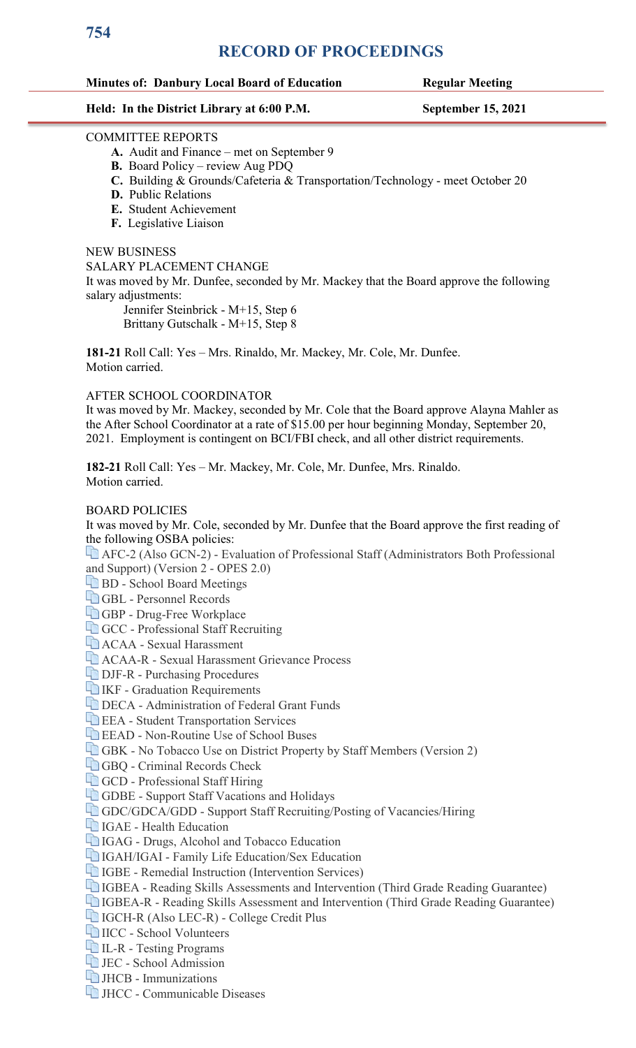# **RECORD OF PROCEEDINGS**

#### **Minutes of: Danbury Local Board of Education Regular Meeting**

#### **Held: In the District Library at 6:00 P.M. September 15, 2021**

#### COMMITTEE REPORTS

- **A.** Audit and Finance met on September 9
- **B.** Board Policy review Aug PDQ
- **C.** Building & Grounds/Cafeteria & Transportation/Technology meet October 20
- **D.** Public Relations
- **E.** Student Achievement
- **F.** Legislative Liaison

#### NEW BUSINESS

SALARY PLACEMENT CHANGE

It was moved by Mr. Dunfee, seconded by Mr. Mackey that the Board approve the following salary adjustments:

Jennifer Steinbrick - M+15, Step 6

Brittany Gutschalk - M+15, Step 8

**181-21** Roll Call: Yes – Mrs. Rinaldo, Mr. Mackey, Mr. Cole, Mr. Dunfee. Motion carried.

#### AFTER SCHOOL COORDINATOR

It was moved by Mr. Mackey, seconded by Mr. Cole that the Board approve Alayna Mahler as the After School Coordinator at a rate of \$15.00 per hour beginning Monday, September 20, 2021. Employment is contingent on BCI/FBI check, and all other district requirements.

**182-21** Roll Call: Yes – Mr. Mackey, Mr. Cole, Mr. Dunfee, Mrs. Rinaldo. Motion carried.

#### BOARD POLICIES

It was moved by Mr. Cole, seconded by Mr. Dunfee that the Board approve the first reading of the following OSBA policies:

[AFC-2 \(Also GCN-2\) - Evaluation of Professional Staff \(Administrators Both Professional](https://go.boarddocs.com/oh/danbury/Board.nsf/Private?open&login)  [and Support\) \(Version 2 - OPES 2.0\)](https://go.boarddocs.com/oh/danbury/Board.nsf/Private?open&login)

**BD** - School Board Meetings

[GBL - Personnel Records](https://go.boarddocs.com/oh/danbury/Board.nsf/Private?open&login)

[GBP - Drug-Free Workplace](https://go.boarddocs.com/oh/danbury/Board.nsf/Private?open&login)

[GCC - Professional Staff Recruiting](https://go.boarddocs.com/oh/danbury/Board.nsf/Private?open&login)

[ACAA - Sexual Harassment](https://go.boarddocs.com/oh/danbury/Board.nsf/Private?open&login)

[ACAA-R - Sexual Harassment Grievance Process](https://go.boarddocs.com/oh/danbury/Board.nsf/Private?open&login)

[DJF-R - Purchasing Procedures](https://go.boarddocs.com/oh/danbury/Board.nsf/Private?open&login)

**IKF** - Graduation Requirements

[DECA - Administration of Federal Grant Funds](https://go.boarddocs.com/oh/danbury/Board.nsf/Private?open&login)

**EEA** - Student Transportation Services

[EEAD - Non-Routine Use of School Buses](https://go.boarddocs.com/oh/danbury/Board.nsf/Private?open&login)

[GBK - No Tobacco Use on District Property by Staff Members \(Version 2\)](https://go.boarddocs.com/oh/danbury/Board.nsf/Private?open&login)

[GBQ - Criminal Records Check](https://go.boarddocs.com/oh/danbury/Board.nsf/Private?open&login)

**GCD** - Professional Staff Hiring

**GDBE** - Support Staff Vacations and Holidays

[GDC/GDCA/GDD - Support Staff Recruiting/Posting of Vacancies/Hiring](https://go.boarddocs.com/oh/danbury/Board.nsf/Private?open&login)

**IGAE** - Health Education

[IGAG - Drugs, Alcohol and Tobacco Education](https://go.boarddocs.com/oh/danbury/Board.nsf/Private?open&login)

[IGAH/IGAI - Family Life Education/Sex Education](https://go.boarddocs.com/oh/danbury/Board.nsf/Private?open&login)

**IGBE** - Remedial Instruction (Intervention Services)

[IGBEA - Reading Skills Assessments and Intervention \(Third Grade Reading Guarantee\)](https://go.boarddocs.com/oh/danbury/Board.nsf/Private?open&login)

[IGBEA-R - Reading Skills Assessment and Intervention \(Third Grade Reading Guarantee\)](https://go.boarddocs.com/oh/danbury/Board.nsf/Private?open&login)

[IGCH-R \(Also LEC-R\) - College Credit Plus](https://go.boarddocs.com/oh/danbury/Board.nsf/Private?open&login)

[IICC - School Volunteers](https://go.boarddocs.com/oh/danbury/Board.nsf/Private?open&login)

[IL-R - Testing Programs](https://go.boarddocs.com/oh/danbury/Board.nsf/Private?open&login)

[JEC - School Admission](https://go.boarddocs.com/oh/danbury/Board.nsf/Private?open&login)

[JHCB - Immunizations](https://go.boarddocs.com/oh/danbury/Board.nsf/Private?open&login)

[JHCC - Communicable Diseases](https://go.boarddocs.com/oh/danbury/Board.nsf/Private?open&login)

**754**